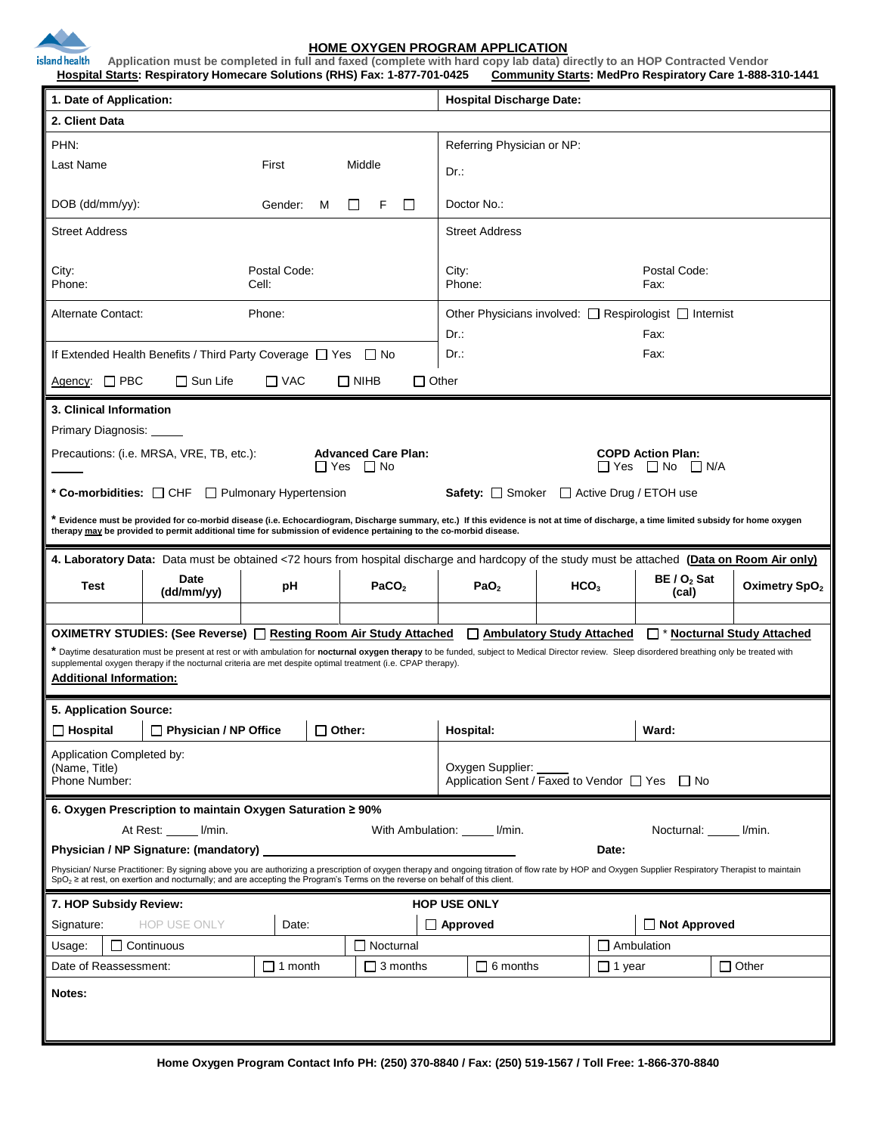

## **HOME OXYGEN PROGRAM APPLICATION**

island health **Application must be completed in full and faxed (complete with hard copy lab data) directly to an HOP Contracted Vendor Hospital Starts: Respiratory Homecare Solutions (RHS) Fax: 1-877-701-0425 Community Starts: MedPro Respiratory Care 1-888-310-1441**

| 1. Date of Application:                                                                                                                                                                                                                                                                                          |                    |                |                  |                      | <b>Hospital Discharge Date:</b>                                   |                  |                        |                           |
|------------------------------------------------------------------------------------------------------------------------------------------------------------------------------------------------------------------------------------------------------------------------------------------------------------------|--------------------|----------------|------------------|----------------------|-------------------------------------------------------------------|------------------|------------------------|---------------------------|
| 2. Client Data                                                                                                                                                                                                                                                                                                   |                    |                |                  |                      |                                                                   |                  |                        |                           |
| PHN:                                                                                                                                                                                                                                                                                                             |                    |                |                  |                      | Referring Physician or NP:                                        |                  |                        |                           |
| Last Name<br>First<br>Middle                                                                                                                                                                                                                                                                                     |                    |                |                  |                      |                                                                   |                  |                        |                           |
|                                                                                                                                                                                                                                                                                                                  |                    |                |                  |                      | Dr.:                                                              |                  |                        |                           |
| DOB (dd/mm/yy):<br>Gender:<br>м<br>F<br>ΙI                                                                                                                                                                                                                                                                       |                    |                |                  |                      | Doctor No.:                                                       |                  |                        |                           |
| <b>Street Address</b>                                                                                                                                                                                                                                                                                            |                    |                |                  |                      | <b>Street Address</b>                                             |                  |                        |                           |
|                                                                                                                                                                                                                                                                                                                  |                    |                |                  |                      | Postal Code:                                                      |                  |                        |                           |
| Postal Code:<br>City:<br>Phone:<br>Cell:                                                                                                                                                                                                                                                                         |                    |                |                  |                      | City:<br>Phone:<br>Fax:                                           |                  |                        |                           |
| Alternate Contact:<br>Phone:                                                                                                                                                                                                                                                                                     |                    |                |                  |                      | Other Physicians involved: □ Respirologist □ Internist            |                  |                        |                           |
|                                                                                                                                                                                                                                                                                                                  |                    |                |                  |                      | Fax:<br>Dr.:                                                      |                  |                        |                           |
| If Extended Health Benefits / Third Party Coverage □ Yes □ No                                                                                                                                                                                                                                                    |                    |                |                  |                      | Fax:<br>Dr.:                                                      |                  |                        |                           |
| $\Box$ Sun Life<br>$\Box$ PBC<br>$\Box$ VAC<br>$\square$ NIHB<br>$\Box$ Other<br>Agency:                                                                                                                                                                                                                         |                    |                |                  |                      |                                                                   |                  |                        |                           |
|                                                                                                                                                                                                                                                                                                                  |                    |                |                  |                      |                                                                   |                  |                        |                           |
| 3. Clinical Information                                                                                                                                                                                                                                                                                          |                    |                |                  |                      |                                                                   |                  |                        |                           |
| Primary Diagnosis:<br>Precautions: (i.e. MRSA, VRE, TB, etc.):<br><b>Advanced Care Plan:</b>                                                                                                                                                                                                                     |                    |                |                  |                      |                                                                   |                  |                        |                           |
|                                                                                                                                                                                                                                                                                                                  |                    |                |                  | $\Box$ Yes $\Box$ No | <b>COPD Action Plan:</b><br>$\Box$ Yes $\Box$ No $\Box$ N/A       |                  |                        |                           |
| * Co-morbidities: $\Box$ CHF $\Box$ Pulmonary Hypertension<br>Safety: $\Box$ Smoker<br>$\Box$ Active Drug / ETOH use                                                                                                                                                                                             |                    |                |                  |                      |                                                                   |                  |                        |                           |
| * Evidence must be provided for co-morbid disease (i.e. Echocardiogram, Discharge summary, etc.) If this evidence is not at time of discharge, a time limited subsidy for home oxygen<br>therapy may be provided to permit additional time for submission of evidence pertaining to the co-morbid disease.       |                    |                |                  |                      |                                                                   |                  |                        |                           |
| 4. Laboratory Data: Data must be obtained <72 hours from hospital discharge and hardcopy of the study must be attached (Data on Room Air only)                                                                                                                                                                   |                    |                |                  |                      |                                                                   |                  |                        |                           |
| Test                                                                                                                                                                                                                                                                                                             | Date<br>(dd/mm/yy) | рH             |                  | PaCO <sub>2</sub>    | PaO <sub>2</sub>                                                  | HCO <sub>3</sub> | $BE / O2$ Sat<br>(cal) | Oximetry SpO <sub>2</sub> |
|                                                                                                                                                                                                                                                                                                                  |                    |                |                  |                      |                                                                   |                  |                        |                           |
| OXIMETRY STUDIES: (See Reverse) □ Resting Room Air Study Attached<br>Ambulatory Study Attached<br>□ * Nocturnal Study Attached                                                                                                                                                                                   |                    |                |                  |                      |                                                                   |                  |                        |                           |
| * Daytime desaturation must be present at rest or with ambulation for nocturnal oxygen therapy to be funded, subject to Medical Director review. Sleep disordered breathing only be treated with<br>supplemental oxygen therapy if the nocturnal criteria are met despite optimal treatment (i.e. CPAP therapy). |                    |                |                  |                      |                                                                   |                  |                        |                           |
| <b>Additional Information:</b>                                                                                                                                                                                                                                                                                   |                    |                |                  |                      |                                                                   |                  |                        |                           |
| 5. Application Source:                                                                                                                                                                                                                                                                                           |                    |                |                  |                      |                                                                   |                  |                        |                           |
| $\Box$ Hospital<br>$\Box$ Physician / NP Office<br>$\Box$ Other:                                                                                                                                                                                                                                                 |                    |                |                  |                      | Hospital:<br>Ward:                                                |                  |                        |                           |
| Application Completed by:                                                                                                                                                                                                                                                                                        |                    |                |                  |                      |                                                                   |                  |                        |                           |
| (Name, Title)<br>Phone Number:                                                                                                                                                                                                                                                                                   |                    |                |                  |                      | Oxygen Supplier:<br>Application Sent / Faxed to Vendor □ Yes □ No |                  |                        |                           |
|                                                                                                                                                                                                                                                                                                                  |                    |                |                  |                      |                                                                   |                  |                        |                           |
| 6. Oxygen Prescription to maintain Oxygen Saturation ≥ 90%                                                                                                                                                                                                                                                       |                    |                |                  |                      |                                                                   |                  |                        |                           |
| At Rest: I/min.<br>With Ambulation: ______ I/min.<br>Nocturnal:<br>l/min.                                                                                                                                                                                                                                        |                    |                |                  |                      |                                                                   |                  |                        |                           |
| Physician / NP Signature: (mandatory)<br>Date:<br>Physician/ Nurse Practitioner: By signing above you are authorizing a prescription of oxygen therapy and ongoing titration of flow rate by HOP and Oxygen Supplier Respiratory Therapist to maintain                                                           |                    |                |                  |                      |                                                                   |                  |                        |                           |
| $SpO2 \ge$ at rest, on exertion and nocturnally; and are accepting the Program's Terms on the reverse on behalf of this client.                                                                                                                                                                                  |                    |                |                  |                      |                                                                   |                  |                        |                           |
| 7. HOP Subsidy Review:<br><b>HOP USE ONLY</b>                                                                                                                                                                                                                                                                    |                    |                |                  |                      |                                                                   |                  |                        |                           |
| HOP USE ONLY<br>Signature:                                                                                                                                                                                                                                                                                       |                    |                | Date:            |                      | □ Approved                                                        |                  | □ Not Approved         |                           |
| $\Box$ Continuous<br>Usage:                                                                                                                                                                                                                                                                                      |                    |                | $\Box$ Nocturnal |                      |                                                                   |                  | $\Box$ Ambulation      |                           |
| Date of Reassessment:                                                                                                                                                                                                                                                                                            |                    | $\Box$ 1 month |                  | $\square$ 3 months   | $\Box$ 6 months                                                   | $\Box$ 1 year    |                        | $\Box$ Other              |
| Notes:                                                                                                                                                                                                                                                                                                           |                    |                |                  |                      |                                                                   |                  |                        |                           |
|                                                                                                                                                                                                                                                                                                                  |                    |                |                  |                      |                                                                   |                  |                        |                           |
|                                                                                                                                                                                                                                                                                                                  |                    |                |                  |                      |                                                                   |                  |                        |                           |